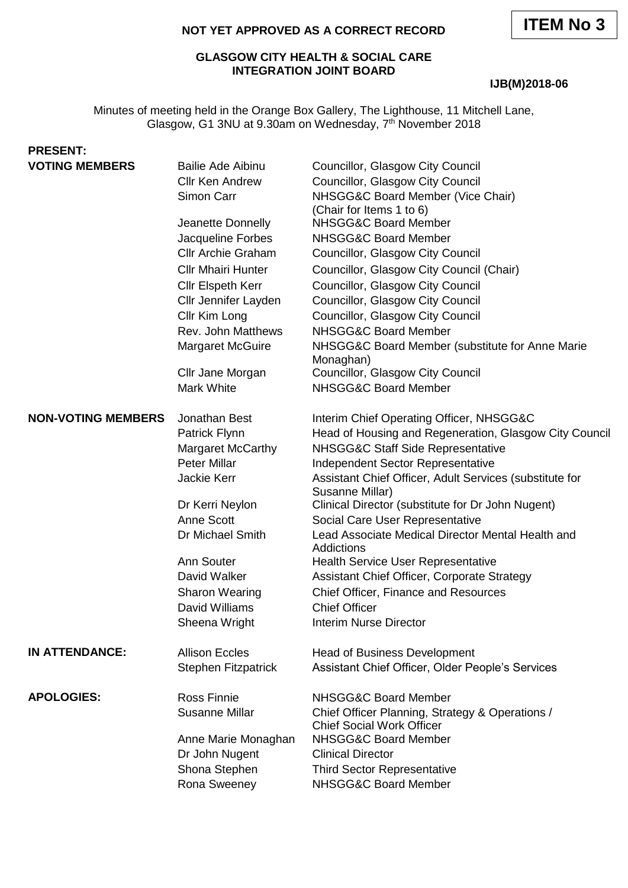# **NOT YET APPROVED AS A CORRECT RECORD**

#### **GLASGOW CITY HEALTH & SOCIAL CARE INTEGRATION JOINT BOARD**

#### **IJB(M)2018-06**

Minutes of meeting held in the Orange Box Gallery, The Lighthouse, 11 Mitchell Lane, Glasgow, G1 3NU at 9.30am on Wednesday, 7<sup>th</sup> November 2018

| <b>PRESENT:</b>           |                                                                  |                                                                                                           |
|---------------------------|------------------------------------------------------------------|-----------------------------------------------------------------------------------------------------------|
| <b>VOTING MEMBERS</b>     | <b>Bailie Ade Aibinu</b><br><b>Cllr Ken Andrew</b><br>Simon Carr | Councillor, Glasgow City Council<br>Councillor, Glasgow City Council<br>NHSGG&C Board Member (Vice Chair) |
|                           | Jeanette Donnelly                                                | (Chair for Items 1 to 6)<br>NHSGG&C Board Member                                                          |
|                           | Jacqueline Forbes                                                | NHSGG&C Board Member                                                                                      |
|                           | <b>Cllr Archie Graham</b>                                        | Councillor, Glasgow City Council                                                                          |
|                           | <b>Cllr Mhairi Hunter</b>                                        | Councillor, Glasgow City Council (Chair)                                                                  |
|                           | Cllr Elspeth Kerr                                                | Councillor, Glasgow City Council                                                                          |
|                           | Cllr Jennifer Layden                                             | Councillor, Glasgow City Council                                                                          |
|                           | Cllr Kim Long                                                    | Councillor, Glasgow City Council                                                                          |
|                           | Rev. John Matthews                                               | <b>NHSGG&amp;C Board Member</b>                                                                           |
|                           | <b>Margaret McGuire</b>                                          | NHSGG&C Board Member (substitute for Anne Marie<br>Monaghan)                                              |
|                           | Cllr Jane Morgan                                                 | Councillor, Glasgow City Council                                                                          |
|                           | Mark White                                                       | <b>NHSGG&amp;C Board Member</b>                                                                           |
| <b>NON-VOTING MEMBERS</b> | Jonathan Best                                                    | Interim Chief Operating Officer, NHSGG&C                                                                  |
|                           | Patrick Flynn                                                    | Head of Housing and Regeneration, Glasgow City Council                                                    |
|                           | <b>Margaret McCarthy</b>                                         | NHSGG&C Staff Side Representative                                                                         |
|                           | <b>Peter Millar</b>                                              | Independent Sector Representative                                                                         |
|                           | Jackie Kerr                                                      | Assistant Chief Officer, Adult Services (substitute for<br>Susanne Millar)                                |
|                           | Dr Kerri Neylon                                                  | Clinical Director (substitute for Dr John Nugent)                                                         |
|                           | <b>Anne Scott</b>                                                | Social Care User Representative                                                                           |
|                           | Dr Michael Smith                                                 | Lead Associate Medical Director Mental Health and<br>Addictions                                           |
|                           | Ann Souter                                                       | <b>Health Service User Representative</b>                                                                 |
|                           | David Walker                                                     | Assistant Chief Officer, Corporate Strategy                                                               |
|                           | <b>Sharon Wearing</b>                                            | Chief Officer, Finance and Resources                                                                      |
|                           | David Williams                                                   | <b>Chief Officer</b>                                                                                      |
|                           | Sheena Wright                                                    | <b>Interim Nurse Director</b>                                                                             |
| <b>IN ATTENDANCE:</b>     | <b>Allison Eccles</b>                                            | <b>Head of Business Development</b>                                                                       |
|                           | <b>Stephen Fitzpatrick</b>                                       | Assistant Chief Officer, Older People's Services                                                          |
| <b>APOLOGIES:</b>         | <b>Ross Finnie</b>                                               | NHSGG&C Board Member                                                                                      |
|                           | <b>Susanne Millar</b>                                            | Chief Officer Planning, Strategy & Operations /<br><b>Chief Social Work Officer</b>                       |
|                           | Anne Marie Monaghan                                              | NHSGG&C Board Member                                                                                      |
|                           | Dr John Nugent                                                   | <b>Clinical Director</b>                                                                                  |
|                           | Shona Stephen                                                    | <b>Third Sector Representative</b>                                                                        |
|                           | Rona Sweeney                                                     | NHSGG&C Board Member                                                                                      |
|                           |                                                                  |                                                                                                           |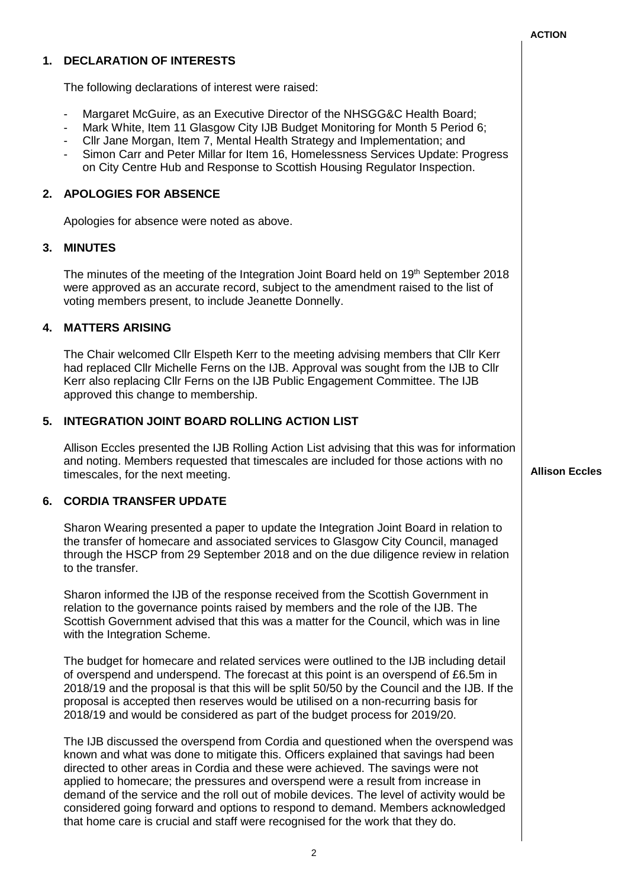|    |                                                                                                                                                                                                                                                                                                                                                                                                                                                                                                                                                                                                                | <b>ACTION</b>         |
|----|----------------------------------------------------------------------------------------------------------------------------------------------------------------------------------------------------------------------------------------------------------------------------------------------------------------------------------------------------------------------------------------------------------------------------------------------------------------------------------------------------------------------------------------------------------------------------------------------------------------|-----------------------|
| 1. | <b>DECLARATION OF INTERESTS</b>                                                                                                                                                                                                                                                                                                                                                                                                                                                                                                                                                                                |                       |
|    | The following declarations of interest were raised:                                                                                                                                                                                                                                                                                                                                                                                                                                                                                                                                                            |                       |
|    | Margaret McGuire, as an Executive Director of the NHSGG&C Health Board;<br>$\overline{\phantom{a}}$<br>Mark White, Item 11 Glasgow City IJB Budget Monitoring for Month 5 Period 6;<br>Cllr Jane Morgan, Item 7, Mental Health Strategy and Implementation; and<br>Simon Carr and Peter Millar for Item 16, Homelessness Services Update: Progress<br>on City Centre Hub and Response to Scottish Housing Regulator Inspection.                                                                                                                                                                                |                       |
|    | 2. APOLOGIES FOR ABSENCE                                                                                                                                                                                                                                                                                                                                                                                                                                                                                                                                                                                       |                       |
|    | Apologies for absence were noted as above.                                                                                                                                                                                                                                                                                                                                                                                                                                                                                                                                                                     |                       |
| 3. | <b>MINUTES</b>                                                                                                                                                                                                                                                                                                                                                                                                                                                                                                                                                                                                 |                       |
|    | The minutes of the meeting of the Integration Joint Board held on 19th September 2018<br>were approved as an accurate record, subject to the amendment raised to the list of<br>voting members present, to include Jeanette Donnelly.                                                                                                                                                                                                                                                                                                                                                                          |                       |
| 4. | <b>MATTERS ARISING</b>                                                                                                                                                                                                                                                                                                                                                                                                                                                                                                                                                                                         |                       |
|    | The Chair welcomed Cllr Elspeth Kerr to the meeting advising members that Cllr Kerr<br>had replaced Cllr Michelle Ferns on the IJB. Approval was sought from the IJB to Cllr<br>Kerr also replacing Cllr Ferns on the IJB Public Engagement Committee. The IJB<br>approved this change to membership.                                                                                                                                                                                                                                                                                                          |                       |
| 5. | <b>INTEGRATION JOINT BOARD ROLLING ACTION LIST</b>                                                                                                                                                                                                                                                                                                                                                                                                                                                                                                                                                             |                       |
|    | Allison Eccles presented the IJB Rolling Action List advising that this was for information<br>and noting. Members requested that timescales are included for those actions with no<br>timescales, for the next meeting.                                                                                                                                                                                                                                                                                                                                                                                       | <b>Allison Eccles</b> |
| 6. | <b>CORDIA TRANSFER UPDATE</b>                                                                                                                                                                                                                                                                                                                                                                                                                                                                                                                                                                                  |                       |
|    | Sharon Wearing presented a paper to update the Integration Joint Board in relation to<br>the transfer of homecare and associated services to Glasgow City Council, managed<br>through the HSCP from 29 September 2018 and on the due diligence review in relation<br>to the transfer.                                                                                                                                                                                                                                                                                                                          |                       |
|    | Sharon informed the IJB of the response received from the Scottish Government in<br>relation to the governance points raised by members and the role of the IJB. The<br>Scottish Government advised that this was a matter for the Council, which was in line<br>with the Integration Scheme.                                                                                                                                                                                                                                                                                                                  |                       |
|    | The budget for homecare and related services were outlined to the IJB including detail<br>of overspend and underspend. The forecast at this point is an overspend of £6.5m in<br>2018/19 and the proposal is that this will be split 50/50 by the Council and the IJB. If the<br>proposal is accepted then reserves would be utilised on a non-recurring basis for<br>2018/19 and would be considered as part of the budget process for 2019/20.                                                                                                                                                               |                       |
|    | The IJB discussed the overspend from Cordia and questioned when the overspend was<br>known and what was done to mitigate this. Officers explained that savings had been<br>directed to other areas in Cordia and these were achieved. The savings were not<br>applied to homecare; the pressures and overspend were a result from increase in<br>demand of the service and the roll out of mobile devices. The level of activity would be<br>considered going forward and options to respond to demand. Members acknowledged<br>that home care is crucial and staff were recognised for the work that they do. |                       |

 $\overline{\phantom{a}}$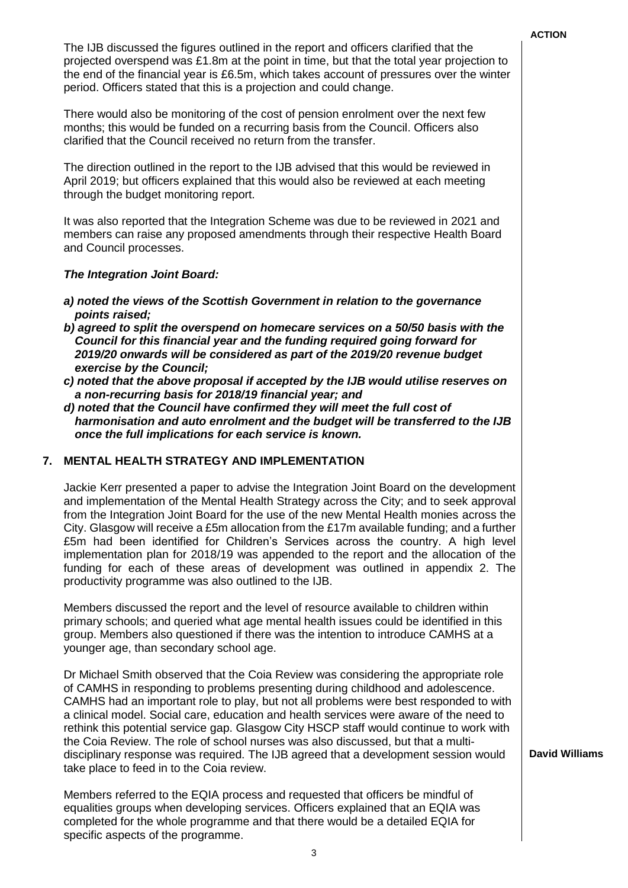The IJB discussed the figures outlined in the report and officers clarified that the projected overspend was £1.8m at the point in time, but that the total year projection to the end of the financial year is £6.5m, which takes account of pressures over the winter period. Officers stated that this is a projection and could change.

There would also be monitoring of the cost of pension enrolment over the next few months; this would be funded on a recurring basis from the Council. Officers also clarified that the Council received no return from the transfer.

The direction outlined in the report to the IJB advised that this would be reviewed in April 2019; but officers explained that this would also be reviewed at each meeting through the budget monitoring report.

It was also reported that the Integration Scheme was due to be reviewed in 2021 and members can raise any proposed amendments through their respective Health Board and Council processes.

## *The Integration Joint Board:*

- *a) noted the views of the Scottish Government in relation to the governance points raised;*
- *b) agreed to split the overspend on homecare services on a 50/50 basis with the Council for this financial year and the funding required going forward for 2019/20 onwards will be considered as part of the 2019/20 revenue budget exercise by the Council;*
- *c) noted that the above proposal if accepted by the IJB would utilise reserves on a non-recurring basis for 2018/19 financial year; and*
- *d) noted that the Council have confirmed they will meet the full cost of harmonisation and auto enrolment and the budget will be transferred to the IJB once the full implications for each service is known.*

# **7. MENTAL HEALTH STRATEGY AND IMPLEMENTATION**

Jackie Kerr presented a paper to advise the Integration Joint Board on the development and implementation of the Mental Health Strategy across the City; and to seek approval from the Integration Joint Board for the use of the new Mental Health monies across the City. Glasgow will receive a £5m allocation from the £17m available funding; and a further £5m had been identified for Children's Services across the country. A high level implementation plan for 2018/19 was appended to the report and the allocation of the funding for each of these areas of development was outlined in appendix 2. The productivity programme was also outlined to the IJB.

Members discussed the report and the level of resource available to children within primary schools; and queried what age mental health issues could be identified in this group. Members also questioned if there was the intention to introduce CAMHS at a younger age, than secondary school age.

Dr Michael Smith observed that the Coia Review was considering the appropriate role of CAMHS in responding to problems presenting during childhood and adolescence. CAMHS had an important role to play, but not all problems were best responded to with a clinical model. Social care, education and health services were aware of the need to rethink this potential service gap. Glasgow City HSCP staff would continue to work with the Coia Review. The role of school nurses was also discussed, but that a multidisciplinary response was required. The IJB agreed that a development session would take place to feed in to the Coia review.

Members referred to the EQIA process and requested that officers be mindful of equalities groups when developing services. Officers explained that an EQIA was completed for the whole programme and that there would be a detailed EQIA for specific aspects of the programme.

**David Williams**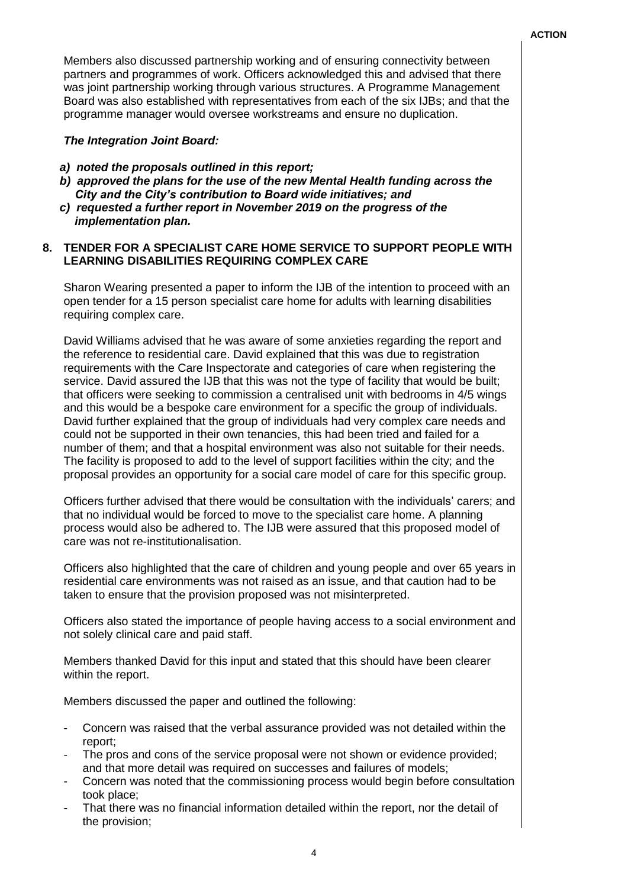Members also discussed partnership working and of ensuring connectivity between partners and programmes of work. Officers acknowledged this and advised that there was joint partnership working through various structures. A Programme Management Board was also established with representatives from each of the six IJBs; and that the programme manager would oversee workstreams and ensure no duplication.

## *The Integration Joint Board:*

- *a) noted the proposals outlined in this report;*
- *b) approved the plans for the use of the new Mental Health funding across the City and the City's contribution to Board wide initiatives; and*
- *c) requested a further report in November 2019 on the progress of the implementation plan.*

## **8. TENDER FOR A SPECIALIST CARE HOME SERVICE TO SUPPORT PEOPLE WITH LEARNING DISABILITIES REQUIRING COMPLEX CARE**

Sharon Wearing presented a paper to inform the IJB of the intention to proceed with an open tender for a 15 person specialist care home for adults with learning disabilities requiring complex care.

David Williams advised that he was aware of some anxieties regarding the report and the reference to residential care. David explained that this was due to registration requirements with the Care Inspectorate and categories of care when registering the service. David assured the IJB that this was not the type of facility that would be built; that officers were seeking to commission a centralised unit with bedrooms in 4/5 wings and this would be a bespoke care environment for a specific the group of individuals. David further explained that the group of individuals had very complex care needs and could not be supported in their own tenancies, this had been tried and failed for a number of them; and that a hospital environment was also not suitable for their needs. The facility is proposed to add to the level of support facilities within the city; and the proposal provides an opportunity for a social care model of care for this specific group.

Officers further advised that there would be consultation with the individuals' carers; and that no individual would be forced to move to the specialist care home. A planning process would also be adhered to. The IJB were assured that this proposed model of care was not re-institutionalisation.

Officers also highlighted that the care of children and young people and over 65 years in residential care environments was not raised as an issue, and that caution had to be taken to ensure that the provision proposed was not misinterpreted.

Officers also stated the importance of people having access to a social environment and not solely clinical care and paid staff.

Members thanked David for this input and stated that this should have been clearer within the report.

Members discussed the paper and outlined the following:

- Concern was raised that the verbal assurance provided was not detailed within the report;
- The pros and cons of the service proposal were not shown or evidence provided; and that more detail was required on successes and failures of models:
- Concern was noted that the commissioning process would begin before consultation took place;
- That there was no financial information detailed within the report, nor the detail of the provision;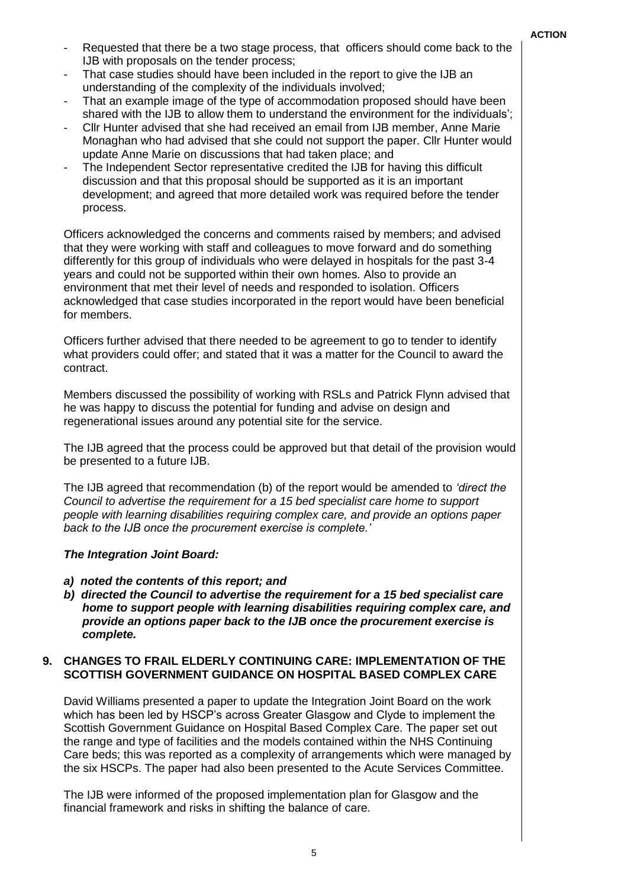- Requested that there be a two stage process, that officers should come back to the IJB with proposals on the tender process;
- That case studies should have been included in the report to give the IJB an understanding of the complexity of the individuals involved;
- That an example image of the type of accommodation proposed should have been shared with the IJB to allow them to understand the environment for the individuals';
- Cllr Hunter advised that she had received an email from IJB member, Anne Marie Monaghan who had advised that she could not support the paper. Cllr Hunter would update Anne Marie on discussions that had taken place; and
- The Independent Sector representative credited the IJB for having this difficult discussion and that this proposal should be supported as it is an important development; and agreed that more detailed work was required before the tender process.

Officers acknowledged the concerns and comments raised by members; and advised that they were working with staff and colleagues to move forward and do something differently for this group of individuals who were delayed in hospitals for the past 3-4 years and could not be supported within their own homes. Also to provide an environment that met their level of needs and responded to isolation. Officers acknowledged that case studies incorporated in the report would have been beneficial for members.

Officers further advised that there needed to be agreement to go to tender to identify what providers could offer; and stated that it was a matter for the Council to award the contract.

Members discussed the possibility of working with RSLs and Patrick Flynn advised that he was happy to discuss the potential for funding and advise on design and regenerational issues around any potential site for the service.

The IJB agreed that the process could be approved but that detail of the provision would be presented to a future IJB.

The IJB agreed that recommendation (b) of the report would be amended to *'direct the Council to advertise the requirement for a 15 bed specialist care home to support people with learning disabilities requiring complex care, and provide an options paper back to the IJB once the procurement exercise is complete.'*

## *The Integration Joint Board:*

- *a) noted the contents of this report; and*
- *b) directed the Council to advertise the requirement for a 15 bed specialist care home to support people with learning disabilities requiring complex care, and provide an options paper back to the IJB once the procurement exercise is complete.*

#### **9. CHANGES TO FRAIL ELDERLY CONTINUING CARE: IMPLEMENTATION OF THE SCOTTISH GOVERNMENT GUIDANCE ON HOSPITAL BASED COMPLEX CARE**

David Williams presented a paper to update the Integration Joint Board on the work which has been led by HSCP's across Greater Glasgow and Clyde to implement the Scottish Government Guidance on Hospital Based Complex Care. The paper set out the range and type of facilities and the models contained within the NHS Continuing Care beds; this was reported as a complexity of arrangements which were managed by the six HSCPs. The paper had also been presented to the Acute Services Committee.

The IJB were informed of the proposed implementation plan for Glasgow and the financial framework and risks in shifting the balance of care.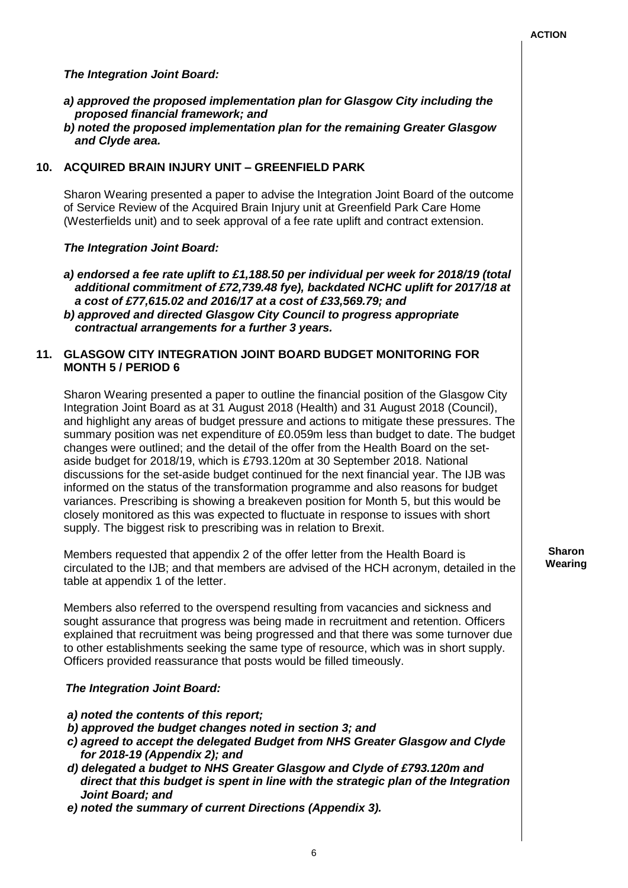## *The Integration Joint Board:*

- *a) approved the proposed implementation plan for Glasgow City including the proposed financial framework; and*
- *b) noted the proposed implementation plan for the remaining Greater Glasgow and Clyde area.*

## **10. ACQUIRED BRAIN INJURY UNIT – GREENFIELD PARK**

Sharon Wearing presented a paper to advise the Integration Joint Board of the outcome of Service Review of the Acquired Brain Injury unit at Greenfield Park Care Home (Westerfields unit) and to seek approval of a fee rate uplift and contract extension.

#### *The Integration Joint Board:*

*a) endorsed a fee rate uplift to £1,188.50 per individual per week for 2018/19 (total additional commitment of £72,739.48 fye), backdated NCHC uplift for 2017/18 at a cost of £77,615.02 and 2016/17 at a cost of £33,569.79; and b) approved and directed Glasgow City Council to progress appropriate contractual arrangements for a further 3 years.*

## **11. GLASGOW CITY INTEGRATION JOINT BOARD BUDGET MONITORING FOR MONTH 5 / PERIOD 6**

Sharon Wearing presented a paper to outline the financial position of the Glasgow City Integration Joint Board as at 31 August 2018 (Health) and 31 August 2018 (Council), and highlight any areas of budget pressure and actions to mitigate these pressures. The summary position was net expenditure of £0.059m less than budget to date. The budget changes were outlined; and the detail of the offer from the Health Board on the setaside budget for 2018/19, which is £793.120m at 30 September 2018. National discussions for the set-aside budget continued for the next financial year. The IJB was informed on the status of the transformation programme and also reasons for budget variances. Prescribing is showing a breakeven position for Month 5, but this would be closely monitored as this was expected to fluctuate in response to issues with short supply. The biggest risk to prescribing was in relation to Brexit.

Members requested that appendix 2 of the offer letter from the Health Board is circulated to the IJB; and that members are advised of the HCH acronym, detailed in the table at appendix 1 of the letter.

Members also referred to the overspend resulting from vacancies and sickness and sought assurance that progress was being made in recruitment and retention. Officers explained that recruitment was being progressed and that there was some turnover due to other establishments seeking the same type of resource, which was in short supply. Officers provided reassurance that posts would be filled timeously.

#### *The Integration Joint Board:*

- *a) noted the contents of this report;*
- *b) approved the budget changes noted in section 3; and*
- *c) agreed to accept the delegated Budget from NHS Greater Glasgow and Clyde for 2018-19 (Appendix 2); and*
- *d) delegated a budget to NHS Greater Glasgow and Clyde of £793.120m and direct that this budget is spent in line with the strategic plan of the Integration Joint Board; and*
- *e) noted the summary of current Directions (Appendix 3).*

#### **Sharon Wearing**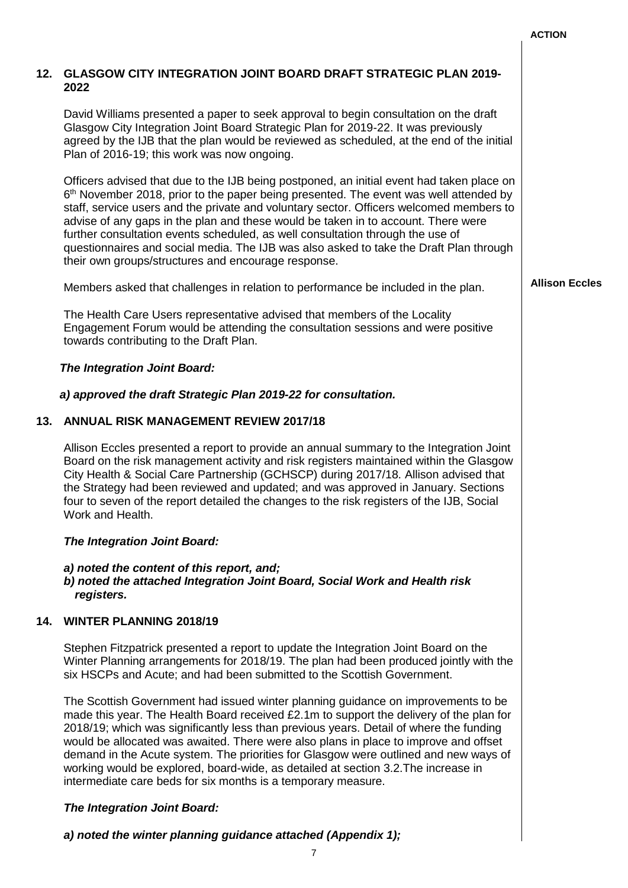|     |                                                                                                                                                                                                                                                                                                                                                                                                                                                                                                                                                                                                               | <b>ACTION</b>         |
|-----|---------------------------------------------------------------------------------------------------------------------------------------------------------------------------------------------------------------------------------------------------------------------------------------------------------------------------------------------------------------------------------------------------------------------------------------------------------------------------------------------------------------------------------------------------------------------------------------------------------------|-----------------------|
|     | 12. GLASGOW CITY INTEGRATION JOINT BOARD DRAFT STRATEGIC PLAN 2019-<br>2022                                                                                                                                                                                                                                                                                                                                                                                                                                                                                                                                   |                       |
|     | David Williams presented a paper to seek approval to begin consultation on the draft<br>Glasgow City Integration Joint Board Strategic Plan for 2019-22. It was previously<br>agreed by the IJB that the plan would be reviewed as scheduled, at the end of the initial<br>Plan of 2016-19; this work was now ongoing.                                                                                                                                                                                                                                                                                        |                       |
|     | Officers advised that due to the IJB being postponed, an initial event had taken place on<br>$6th$ November 2018, prior to the paper being presented. The event was well attended by<br>staff, service users and the private and voluntary sector. Officers welcomed members to<br>advise of any gaps in the plan and these would be taken in to account. There were<br>further consultation events scheduled, as well consultation through the use of<br>questionnaires and social media. The IJB was also asked to take the Draft Plan through<br>their own groups/structures and encourage response.       |                       |
|     | Members asked that challenges in relation to performance be included in the plan.                                                                                                                                                                                                                                                                                                                                                                                                                                                                                                                             | <b>Allison Eccles</b> |
|     | The Health Care Users representative advised that members of the Locality<br>Engagement Forum would be attending the consultation sessions and were positive<br>towards contributing to the Draft Plan.                                                                                                                                                                                                                                                                                                                                                                                                       |                       |
|     | <b>The Integration Joint Board:</b>                                                                                                                                                                                                                                                                                                                                                                                                                                                                                                                                                                           |                       |
|     | a) approved the draft Strategic Plan 2019-22 for consultation.                                                                                                                                                                                                                                                                                                                                                                                                                                                                                                                                                |                       |
| 13. | <b>ANNUAL RISK MANAGEMENT REVIEW 2017/18</b>                                                                                                                                                                                                                                                                                                                                                                                                                                                                                                                                                                  |                       |
|     | Allison Eccles presented a report to provide an annual summary to the Integration Joint<br>Board on the risk management activity and risk registers maintained within the Glasgow<br>City Health & Social Care Partnership (GCHSCP) during 2017/18. Allison advised that<br>the Strategy had been reviewed and updated; and was approved in January. Sections<br>four to seven of the report detailed the changes to the risk registers of the IJB, Social<br>Work and Health.                                                                                                                                |                       |
|     | The Integration Joint Board:                                                                                                                                                                                                                                                                                                                                                                                                                                                                                                                                                                                  |                       |
|     | a) noted the content of this report, and;<br>b) noted the attached Integration Joint Board, Social Work and Health risk<br>registers.                                                                                                                                                                                                                                                                                                                                                                                                                                                                         |                       |
| 14. | <b>WINTER PLANNING 2018/19</b>                                                                                                                                                                                                                                                                                                                                                                                                                                                                                                                                                                                |                       |
|     | Stephen Fitzpatrick presented a report to update the Integration Joint Board on the<br>Winter Planning arrangements for 2018/19. The plan had been produced jointly with the<br>six HSCPs and Acute; and had been submitted to the Scottish Government.                                                                                                                                                                                                                                                                                                                                                       |                       |
|     | The Scottish Government had issued winter planning guidance on improvements to be<br>made this year. The Health Board received £2.1m to support the delivery of the plan for<br>2018/19; which was significantly less than previous years. Detail of where the funding<br>would be allocated was awaited. There were also plans in place to improve and offset<br>demand in the Acute system. The priorities for Glasgow were outlined and new ways of<br>working would be explored, board-wide, as detailed at section 3.2. The increase in<br>intermediate care beds for six months is a temporary measure. |                       |
|     | The Integration Joint Board:                                                                                                                                                                                                                                                                                                                                                                                                                                                                                                                                                                                  |                       |
|     | a) noted the winter planning guidance attached (Appendix 1);                                                                                                                                                                                                                                                                                                                                                                                                                                                                                                                                                  |                       |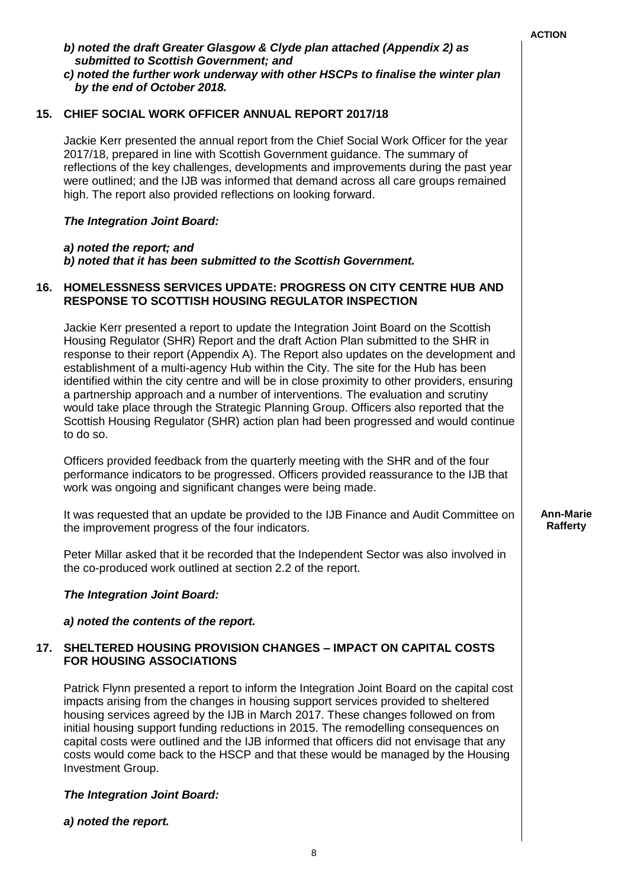|     |                                                                                                                                                                                                                                                                                                                                                                                                                                                                                                                                                                                                                                                                                                                                             | <b>ACTION</b>                |
|-----|---------------------------------------------------------------------------------------------------------------------------------------------------------------------------------------------------------------------------------------------------------------------------------------------------------------------------------------------------------------------------------------------------------------------------------------------------------------------------------------------------------------------------------------------------------------------------------------------------------------------------------------------------------------------------------------------------------------------------------------------|------------------------------|
|     | b) noted the draft Greater Glasgow & Clyde plan attached (Appendix 2) as<br>submitted to Scottish Government; and<br>c) noted the further work underway with other HSCPs to finalise the winter plan<br>by the end of October 2018.                                                                                                                                                                                                                                                                                                                                                                                                                                                                                                         |                              |
| 15. | <b>CHIEF SOCIAL WORK OFFICER ANNUAL REPORT 2017/18</b>                                                                                                                                                                                                                                                                                                                                                                                                                                                                                                                                                                                                                                                                                      |                              |
|     | Jackie Kerr presented the annual report from the Chief Social Work Officer for the year<br>2017/18, prepared in line with Scottish Government guidance. The summary of<br>reflections of the key challenges, developments and improvements during the past year<br>were outlined; and the IJB was informed that demand across all care groups remained<br>high. The report also provided reflections on looking forward.                                                                                                                                                                                                                                                                                                                    |                              |
|     | <b>The Integration Joint Board:</b>                                                                                                                                                                                                                                                                                                                                                                                                                                                                                                                                                                                                                                                                                                         |                              |
|     | a) noted the report; and<br>b) noted that it has been submitted to the Scottish Government.                                                                                                                                                                                                                                                                                                                                                                                                                                                                                                                                                                                                                                                 |                              |
| 16. | HOMELESSNESS SERVICES UPDATE: PROGRESS ON CITY CENTRE HUB AND<br><b>RESPONSE TO SCOTTISH HOUSING REGULATOR INSPECTION</b>                                                                                                                                                                                                                                                                                                                                                                                                                                                                                                                                                                                                                   |                              |
|     | Jackie Kerr presented a report to update the Integration Joint Board on the Scottish<br>Housing Regulator (SHR) Report and the draft Action Plan submitted to the SHR in<br>response to their report (Appendix A). The Report also updates on the development and<br>establishment of a multi-agency Hub within the City. The site for the Hub has been<br>identified within the city centre and will be in close proximity to other providers, ensuring<br>a partnership approach and a number of interventions. The evaluation and scrutiny<br>would take place through the Strategic Planning Group. Officers also reported that the<br>Scottish Housing Regulator (SHR) action plan had been progressed and would continue<br>to do so. |                              |
|     | Officers provided feedback from the quarterly meeting with the SHR and of the four<br>performance indicators to be progressed. Officers provided reassurance to the IJB that<br>work was ongoing and significant changes were being made.                                                                                                                                                                                                                                                                                                                                                                                                                                                                                                   |                              |
|     | It was requested that an update be provided to the IJB Finance and Audit Committee on<br>the improvement progress of the four indicators.                                                                                                                                                                                                                                                                                                                                                                                                                                                                                                                                                                                                   | <b>Ann-Marie</b><br>Rafferty |
|     | Peter Millar asked that it be recorded that the Independent Sector was also involved in<br>the co-produced work outlined at section 2.2 of the report.                                                                                                                                                                                                                                                                                                                                                                                                                                                                                                                                                                                      |                              |
|     | The Integration Joint Board:                                                                                                                                                                                                                                                                                                                                                                                                                                                                                                                                                                                                                                                                                                                |                              |
|     | a) noted the contents of the report.                                                                                                                                                                                                                                                                                                                                                                                                                                                                                                                                                                                                                                                                                                        |                              |
| 17. | <b>SHELTERED HOUSING PROVISION CHANGES - IMPACT ON CAPITAL COSTS</b><br><b>FOR HOUSING ASSOCIATIONS</b>                                                                                                                                                                                                                                                                                                                                                                                                                                                                                                                                                                                                                                     |                              |
|     | Patrick Flynn presented a report to inform the Integration Joint Board on the capital cost<br>impacts arising from the changes in housing support services provided to sheltered<br>housing services agreed by the IJB in March 2017. These changes followed on from<br>initial housing support funding reductions in 2015. The remodelling consequences on<br>capital costs were outlined and the IJB informed that officers did not envisage that any<br>costs would come back to the HSCP and that these would be managed by the Housing<br>Investment Group.                                                                                                                                                                            |                              |
|     | <b>The Integration Joint Board:</b>                                                                                                                                                                                                                                                                                                                                                                                                                                                                                                                                                                                                                                                                                                         |                              |
|     | a) noted the report.                                                                                                                                                                                                                                                                                                                                                                                                                                                                                                                                                                                                                                                                                                                        |                              |
|     |                                                                                                                                                                                                                                                                                                                                                                                                                                                                                                                                                                                                                                                                                                                                             |                              |